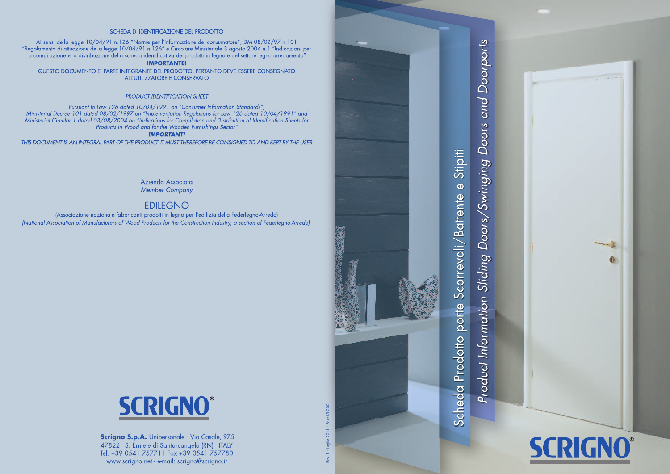#### SCHEDA DI IDENTIFICAZIONE DEI PRODOTTO

Ai sensi della legge 10/04/91 n.126 "Norme per l'informazione del consumatore", DM 08/02/97 n.101 "Regolamento di attuazione della legge 10/04/91 n.126" e Circolare Ministeriale 3 agosto 2004 n.1 "Indicazioni per "Complexione e la distribuzione della scheda identificativa dei prodotti in legno e del settore legno-arredamento"<br>"Ia compilazione e la distribuzione della scheda identificativa dei prodotti in legno e del settore legno-a

#### **IMPORTANTE!**

QUESTO DOCUMENTO E' PARTE INTEGRANTE DEL PRODOTTO, PERTANTO DEVE ESSERE CONSEGNATO ALL'UTILIZZATORE E CONSERVATO

#### **PRODUCT IDENTIFICATION SHEET**

Pursuant to Law 126 dated 10/04/1991 on "Consumer Information Standards" Ministerial Decree 101 dated 08/02/1997 on "Implementation Regulations for Law 126 dated 10/04/1991" and<br>Ministerial Circular 1 dated 08/08/2004 on "Indications for Compilation and Distribution of Identification Sheets for Products in Wood and for the Wooden Furnishings Sector"

#### **IMPORTANT!**

THIS DOCUMENT IS AN INTEGRAL PART OF THE PRODUCT. IT MUST THEREFORE BE CONSIGNED TO AND KEPT BY THE USER

Azienda Associata **Member Company** 

# **EDILEGNO**

(Associazione nazionale fabbricanti prodotti in legno per l'edilizia della Federlegno-Arredo) (National Association of Manufacturers of Wood Products for the Construction Industry, a section of Federlegno-Arredo)



Scrigno S.p.A. Unipersonale - Via Casale, 975 47822 - S. Ermete di Santarcangelo (RN) - ITALY Tel. +39 0541 757711 Fax +39 0541 757780 www.scrigno.net - e-mail: scrigno@scrigno.it

Luglio 2011 - Pezzi 5.000